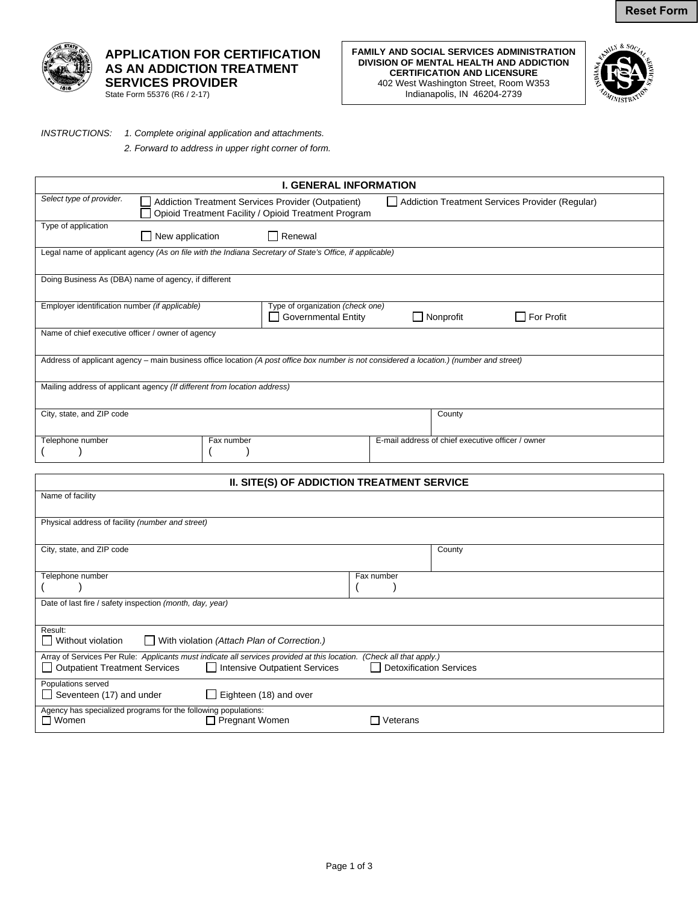

## **APPLICATION FOR CERTIFICATION AS AN ADDICTION TREATMENT SERVICES PROVIDER**

State Form 55376 (R6 / 2-17)

**FAMILY AND SOCIAL SERVICES ADMINISTRATION DIVISION OF MENTAL HEALTH AND ADDICTION CERTIFICATION AND LICENSURE**  402 West Washington Street, Room W353 Indianapolis, IN 46204-2739



## *INSTRUCTIONS: 1. Complete original application and attachments.*

*2. Forward to address in upper right corner of form.* 

| <b>I. GENERAL INFORMATION</b>                                                                                                            |                                                      |                                                                                                       |                                                   |  |  |  |  |
|------------------------------------------------------------------------------------------------------------------------------------------|------------------------------------------------------|-------------------------------------------------------------------------------------------------------|---------------------------------------------------|--|--|--|--|
| Select type of provider.                                                                                                                 |                                                      | Addiction Treatment Services Provider (Outpatient)<br>Addiction Treatment Services Provider (Regular) |                                                   |  |  |  |  |
|                                                                                                                                          | Opioid Treatment Facility / Opioid Treatment Program |                                                                                                       |                                                   |  |  |  |  |
| Type of application                                                                                                                      | $\Box$ New application                               | Renewal                                                                                               |                                                   |  |  |  |  |
| Legal name of applicant agency (As on file with the Indiana Secretary of State's Office, if applicable)                                  |                                                      |                                                                                                       |                                                   |  |  |  |  |
| Doing Business As (DBA) name of agency, if different                                                                                     |                                                      |                                                                                                       |                                                   |  |  |  |  |
| Employer identification number (if applicable)                                                                                           |                                                      | Type of organization (check one)<br>Nonprofit<br>$\Box$ For Profit<br><b>Governmental Entity</b>      |                                                   |  |  |  |  |
| Name of chief executive officer / owner of agency                                                                                        |                                                      |                                                                                                       |                                                   |  |  |  |  |
| Address of applicant agency – main business office location (A post office box number is not considered a location.) (number and street) |                                                      |                                                                                                       |                                                   |  |  |  |  |
| Mailing address of applicant agency (If different from location address)                                                                 |                                                      |                                                                                                       |                                                   |  |  |  |  |
| City, state, and ZIP code                                                                                                                |                                                      |                                                                                                       | County                                            |  |  |  |  |
| Telephone number                                                                                                                         | Fax number                                           |                                                                                                       | E-mail address of chief executive officer / owner |  |  |  |  |
|                                                                                                                                          |                                                      |                                                                                                       |                                                   |  |  |  |  |
|                                                                                                                                          |                                                      |                                                                                                       |                                                   |  |  |  |  |
| II. SITE(S) OF ADDICTION TREATMENT SERVICE                                                                                               |                                                      |                                                                                                       |                                                   |  |  |  |  |
| Name of facility                                                                                                                         |                                                      |                                                                                                       |                                                   |  |  |  |  |
| Physical address of facility (number and street)                                                                                         |                                                      |                                                                                                       |                                                   |  |  |  |  |
|                                                                                                                                          |                                                      |                                                                                                       |                                                   |  |  |  |  |

| City, state, and ZIP code                                                                                            | County                  |  |  |  |  |  |
|----------------------------------------------------------------------------------------------------------------------|-------------------------|--|--|--|--|--|
|                                                                                                                      |                         |  |  |  |  |  |
| Telephone number                                                                                                     | Fax number              |  |  |  |  |  |
|                                                                                                                      |                         |  |  |  |  |  |
| Date of last fire / safety inspection (month, day, year)                                                             |                         |  |  |  |  |  |
|                                                                                                                      |                         |  |  |  |  |  |
| Result:                                                                                                              |                         |  |  |  |  |  |
| Without violation<br>$\Box$ With violation (Attach Plan of Correction.)                                              |                         |  |  |  |  |  |
| Array of Services Per Rule: Applicants must indicate all services provided at this location. (Check all that apply.) |                         |  |  |  |  |  |
| Intensive Outpatient Services<br>Outpatient Treatment Services                                                       | Detoxification Services |  |  |  |  |  |
| Populations served                                                                                                   |                         |  |  |  |  |  |
| $\Box$ Eighteen (18) and over<br>Seventeen (17) and under                                                            |                         |  |  |  |  |  |
| Agency has specialized programs for the following populations:                                                       |                         |  |  |  |  |  |
| $\Box$ Women<br>Pregnant Women                                                                                       | Veterans                |  |  |  |  |  |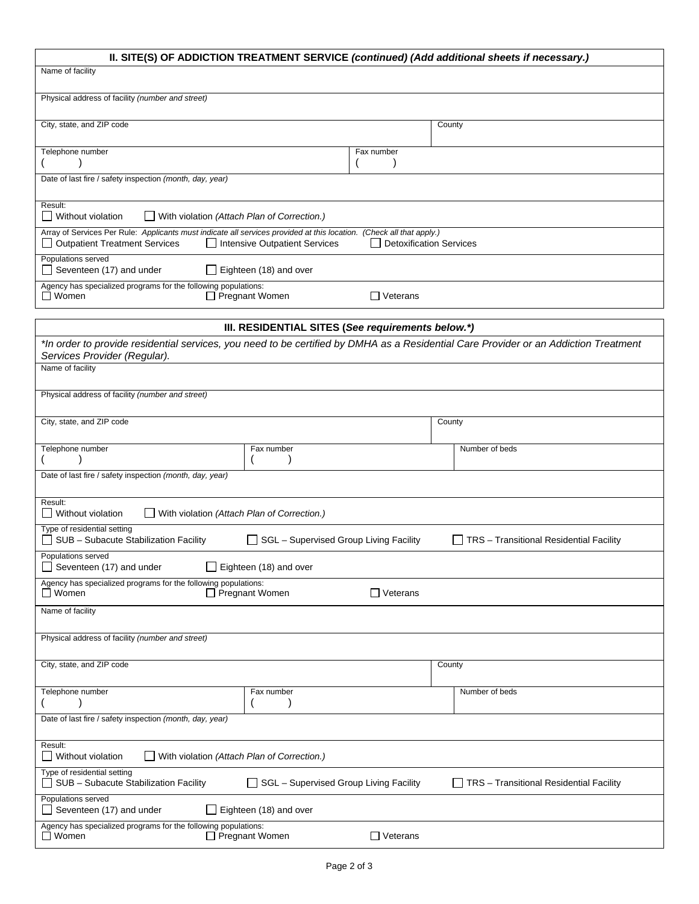| II. SITE(S) OF ADDICTION TREATMENT SERVICE (continued) (Add additional sheets if necessary.)                                                                                                                                           |                                               |                 |                                         |  |  |  |  |
|----------------------------------------------------------------------------------------------------------------------------------------------------------------------------------------------------------------------------------------|-----------------------------------------------|-----------------|-----------------------------------------|--|--|--|--|
| Name of facility                                                                                                                                                                                                                       |                                               |                 |                                         |  |  |  |  |
| Physical address of facility (number and street)                                                                                                                                                                                       |                                               |                 |                                         |  |  |  |  |
| City, state, and ZIP code                                                                                                                                                                                                              |                                               |                 | County                                  |  |  |  |  |
| Telephone number                                                                                                                                                                                                                       |                                               | Fax number      |                                         |  |  |  |  |
| Date of last fire / safety inspection (month, day, year)                                                                                                                                                                               |                                               |                 |                                         |  |  |  |  |
| Result:<br>  Without violation<br>With violation (Attach Plan of Correction.)                                                                                                                                                          |                                               |                 |                                         |  |  |  |  |
| Array of Services Per Rule: Applicants must indicate all services provided at this location. (Check all that apply.)<br><b>Detoxification Services</b><br><b>Outpatient Treatment Services</b><br><b>Intensive Outpatient Services</b> |                                               |                 |                                         |  |  |  |  |
| Populations served<br>Seventeen (17) and under<br>$\Box$ Eighteen (18) and over                                                                                                                                                        |                                               |                 |                                         |  |  |  |  |
| Agency has specialized programs for the following populations:<br>$\Box$ Women<br>□ Pregnant Women<br>$\Box$ Veterans                                                                                                                  |                                               |                 |                                         |  |  |  |  |
|                                                                                                                                                                                                                                        |                                               |                 |                                         |  |  |  |  |
| III. RESIDENTIAL SITES (See requirements below.*)<br>*In order to provide residential services, you need to be certified by DMHA as a Residential Care Provider or an Addiction Treatment                                              |                                               |                 |                                         |  |  |  |  |
| Services Provider (Regular).<br>Name of facility                                                                                                                                                                                       |                                               |                 |                                         |  |  |  |  |
| Physical address of facility (number and street)                                                                                                                                                                                       |                                               |                 |                                         |  |  |  |  |
| City, state, and ZIP code                                                                                                                                                                                                              |                                               |                 | County                                  |  |  |  |  |
| Telephone number                                                                                                                                                                                                                       | Fax number                                    |                 | Number of beds                          |  |  |  |  |
| Date of last fire / safety inspection (month, day, year)                                                                                                                                                                               |                                               |                 |                                         |  |  |  |  |
| Result:<br>  Without violation<br>$\Box$ With violation (Attach Plan of Correction.)                                                                                                                                                   |                                               |                 |                                         |  |  |  |  |
| Type of residential setting<br>SUB - Subacute Stabilization Facility                                                                                                                                                                   | $\Box$ SGL – Supervised Group Living Facility |                 | TRS - Transitional Residential Facility |  |  |  |  |
| Populations served<br>Eighteen (18) and over<br>$\Box$ Seventeen (17) and under                                                                                                                                                        |                                               |                 |                                         |  |  |  |  |
| Agency has specialized programs for the following populations:<br>$\Box$ Women<br>$\Box$ Pregnant Women<br>$\Box$ Veterans                                                                                                             |                                               |                 |                                         |  |  |  |  |
| Name of facility                                                                                                                                                                                                                       |                                               |                 |                                         |  |  |  |  |
| Physical address of facility (number and street)                                                                                                                                                                                       |                                               |                 |                                         |  |  |  |  |
| City, state, and ZIP code                                                                                                                                                                                                              |                                               |                 | County                                  |  |  |  |  |
| Telephone number                                                                                                                                                                                                                       | Fax number                                    |                 | Number of beds                          |  |  |  |  |
| Date of last fire / safety inspection (month, day, year)                                                                                                                                                                               |                                               |                 |                                         |  |  |  |  |
| Result:<br>With violation (Attach Plan of Correction.)<br>Without violation                                                                                                                                                            |                                               |                 |                                         |  |  |  |  |
| Type of residential setting<br>SUB - Subacute Stabilization Facility                                                                                                                                                                   | SGL - Supervised Group Living Facility        |                 | TRS - Transitional Residential Facility |  |  |  |  |
| Populations served<br>Eighteen (18) and over<br>Seventeen (17) and under                                                                                                                                                               |                                               |                 |                                         |  |  |  |  |
| Agency has specialized programs for the following populations:<br>$\Box$ Women                                                                                                                                                         | □ Pregnant Women                              | $\Box$ Veterans |                                         |  |  |  |  |